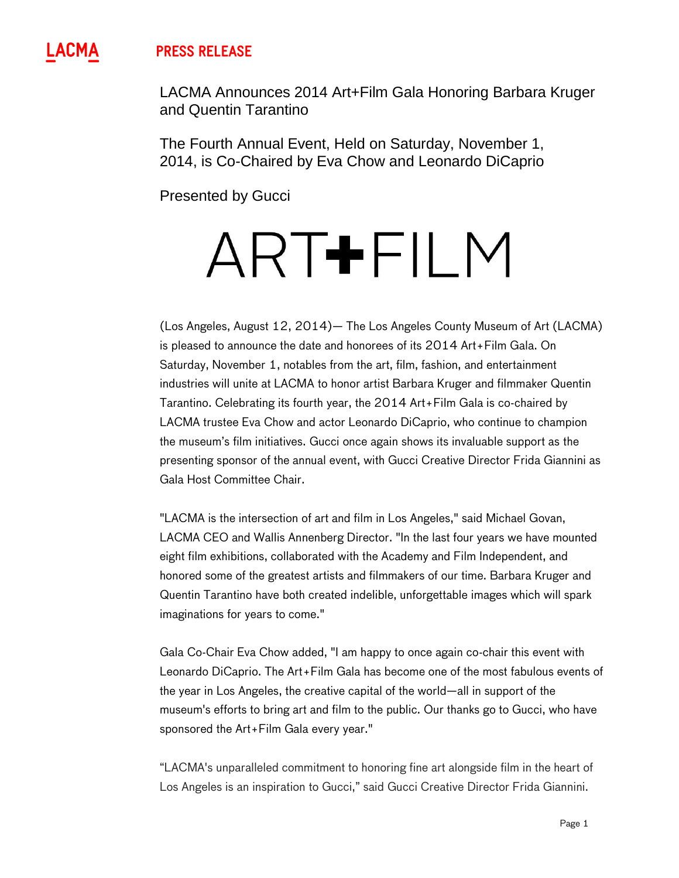## **PRESS RELEASE**

LACMA Announces 2014 Art+Film Gala Honoring Barbara Kruger and Quentin Tarantino

The Fourth Annual Event, Held on Saturday, November 1, 2014, is Co-Chaired by Eva Chow and Leonardo DiCaprio

Presented by Gucci

# ART+FILM

(Los Angeles, August 12, 2014)— The Los Angeles County Museum of Art (LACMA) is pleased to announce the date and honorees of its 2014 Art+Film Gala. On Saturday, November 1, notables from the art, film, fashion, and entertainment industries will unite at LACMA to honor artist Barbara Kruger and filmmaker Quentin Tarantino. Celebrating its fourth year, the 2014 Art+Film Gala is co-chaired by LACMA trustee Eva Chow and actor Leonardo DiCaprio, who continue to champion the museum's film initiatives. Gucci once again shows its invaluable support as the presenting sponsor of the annual event, with Gucci Creative Director Frida Giannini as Gala Host Committee Chair.

"LACMA is the intersection of art and film in Los Angeles," said Michael Govan, LACMA CEO and Wallis Annenberg Director. "In the last four years we have mounted eight film exhibitions, collaborated with the Academy and Film Independent, and honored some of the greatest artists and filmmakers of our time. Barbara Kruger and Quentin Tarantino have both created indelible, unforgettable images which will spark imaginations for years to come."

Gala Co-Chair Eva Chow added, "I am happy to once again co-chair this event with Leonardo DiCaprio. The Art+Film Gala has become one of the most fabulous events of the year in Los Angeles, the creative capital of the world—all in support of the museum's efforts to bring art and film to the public. Our thanks go to Gucci, who have sponsored the Art+Film Gala every year."

"LACMA's unparalleled commitment to honoring fine art alongside film in the heart of Los Angeles is an inspiration to Gucci," said Gucci Creative Director Frida Giannini.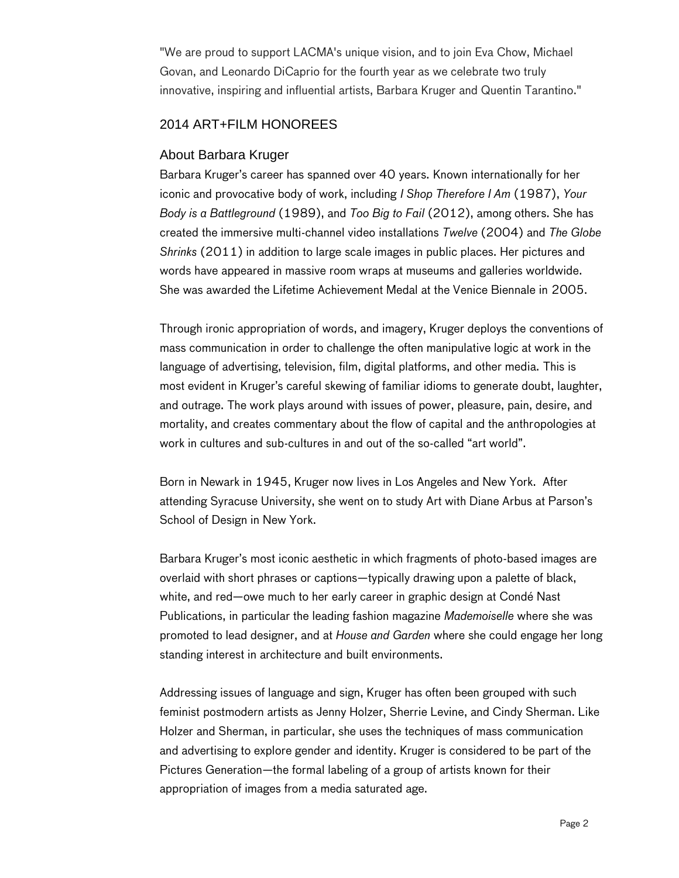"We are proud to support LACMA's unique vision, and to join Eva Chow, Michael Govan, and Leonardo DiCaprio for the fourth year as we celebrate two truly innovative, inspiring and influential artists, Barbara Kruger and Quentin Tarantino."

## 2014 ART+FILM HONOREES

## About Barbara Kruger

Barbara Kruger's career has spanned over 40 years. Known internationally for her iconic and provocative body of work, including *I Shop Therefore I Am* (1987), *Your Body is a Battleground* (1989), and *Too Big to Fail* (2012), among others. She has created the immersive multi-channel video installations *Twelve* (2004) and *The Globe Shrinks* (2011) in addition to large scale images in public places. Her pictures and words have appeared in massive room wraps at museums and galleries worldwide. She was awarded the Lifetime Achievement Medal at the Venice Biennale in 2005.

Through ironic appropriation of words, and imagery, Kruger deploys the conventions of mass communication in order to challenge the often manipulative logic at work in the language of advertising, television, film, digital platforms, and other media. This is most evident in Kruger's careful skewing of familiar idioms to generate doubt, laughter, and outrage. The work plays around with issues of power, pleasure, pain, desire, and mortality, and creates commentary about the flow of capital and the anthropologies at work in cultures and sub-cultures in and out of the so-called "art world".

Born in Newark in 1945, Kruger now lives in Los Angeles and New York. After attending Syracuse University, she went on to study Art with Diane Arbus at Parson's School of Design in New York.

Barbara Kruger's most iconic aesthetic in which fragments of photo-based images are overlaid with short phrases or captions—typically drawing upon a palette of black, white, and red—owe much to her early career in graphic design at Condé Nast Publications, in particular the leading fashion magazine *Mademoiselle* where she was promoted to lead designer, and at *House and Garden* where she could engage her long standing interest in architecture and built environments.

Addressing issues of language and sign, Kruger has often been grouped with such feminist postmodern artists as Jenny Holzer, Sherrie Levine, and Cindy Sherman. Like Holzer and Sherman, in particular, she uses the techniques of mass communication and advertising to explore gender and identity. Kruger is considered to be part of the Pictures Generation—the formal labeling of a group of artists known for their appropriation of images from a media saturated age.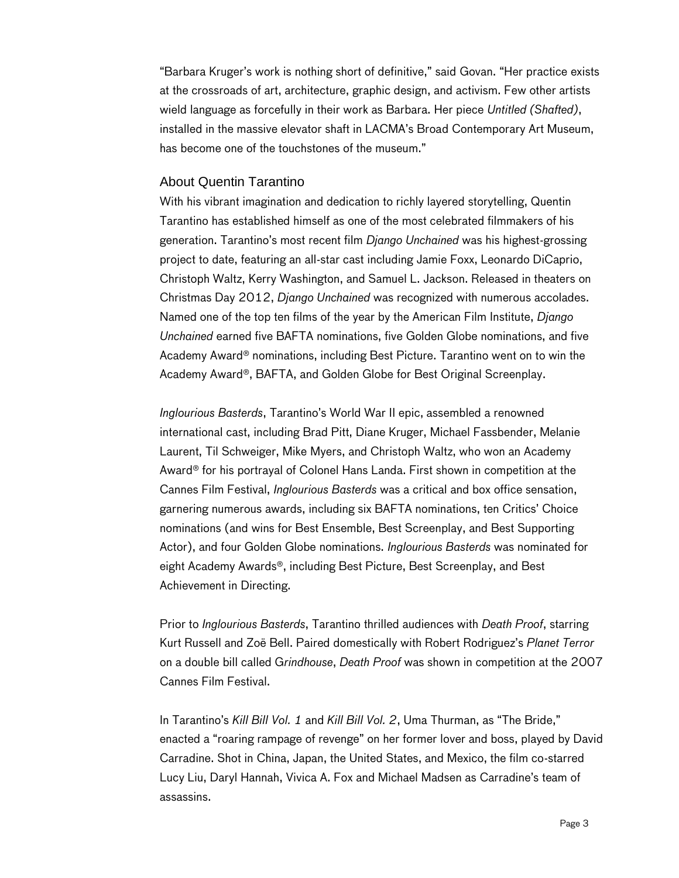"Barbara Kruger's work is nothing short of definitive," said Govan. "Her practice exists at the crossroads of art, architecture, graphic design, and activism. Few other artists wield language as forcefully in their work as Barbara. Her piece *Untitled (Shafted)*, installed in the massive elevator shaft in LACMA's Broad Contemporary Art Museum, has become one of the touchstones of the museum."

#### About Quentin Tarantino

With his vibrant imagination and dedication to richly layered storytelling, Quentin Tarantino has established himself as one of the most celebrated filmmakers of his generation. Tarantino's most recent film *Django Unchained* was his highest-grossing project to date, featuring an all-star cast including Jamie Foxx, Leonardo DiCaprio, Christoph Waltz, Kerry Washington, and Samuel L. Jackson. Released in theaters on Christmas Day 2012, *Django Unchained* was recognized with numerous accolades. Named one of the top ten films of the year by the American Film Institute, *Django Unchained* earned five BAFTA nominations, five Golden Globe nominations, and five Academy Award® nominations, including Best Picture. Tarantino went on to win the Academy Award®, BAFTA, and Golden Globe for Best Original Screenplay.

*Inglourious Basterds*, Tarantino's World War II epic, assembled a renowned international cast, including Brad Pitt, Diane Kruger, Michael Fassbender, Melanie Laurent, Til Schweiger, Mike Myers, and Christoph Waltz, who won an Academy Award® for his portrayal of Colonel Hans Landa. First shown in competition at the Cannes Film Festival, *Inglourious Basterds* was a critical and box office sensation, garnering numerous awards, including six BAFTA nominations, ten Critics' Choice nominations (and wins for Best Ensemble, Best Screenplay, and Best Supporting Actor), and four Golden Globe nominations. *Inglourious Basterds* was nominated for eight Academy Awards®, including Best Picture, Best Screenplay, and Best Achievement in Directing.

Prior to *Inglourious Basterds*, Tarantino thrilled audiences with *Death Proof*, starring Kurt Russell and Zoë Bell. Paired domestically with Robert Rodriguez's *Planet Terror* on a double bill called G*rindhouse*, *Death Proof* was shown in competition at the 2007 Cannes Film Festival.

In Tarantino's *Kill Bill Vol. 1* and *Kill Bill Vol. 2*, Uma Thurman, as "The Bride," enacted a "roaring rampage of revenge" on her former lover and boss, played by David Carradine. Shot in China, Japan, the United States, and Mexico, the film co-starred Lucy Liu, Daryl Hannah, Vivica A. Fox and Michael Madsen as Carradine's team of assassins.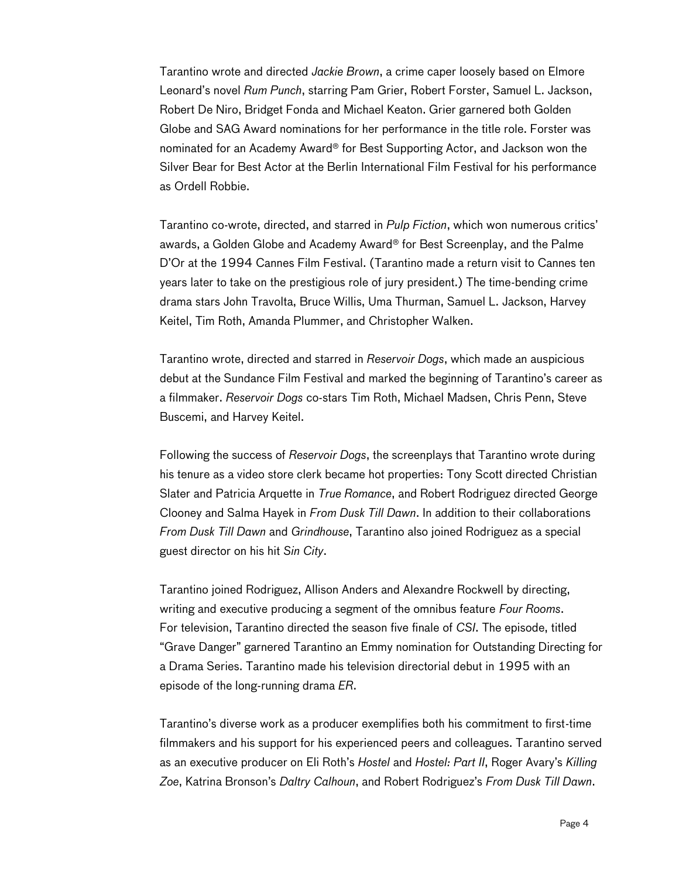Tarantino wrote and directed *Jackie Brown*, a crime caper loosely based on Elmore Leonard's novel *Rum Punch*, starring Pam Grier, Robert Forster, Samuel L. Jackson, Robert De Niro, Bridget Fonda and Michael Keaton. Grier garnered both Golden Globe and SAG Award nominations for her performance in the title role. Forster was nominated for an Academy Award® for Best Supporting Actor, and Jackson won the Silver Bear for Best Actor at the Berlin International Film Festival for his performance as Ordell Robbie.

Tarantino co-wrote, directed, and starred in *Pulp Fiction*, which won numerous critics' awards, a Golden Globe and Academy Award® for Best Screenplay, and the Palme D'Or at the 1994 Cannes Film Festival. (Tarantino made a return visit to Cannes ten years later to take on the prestigious role of jury president.) The time-bending crime drama stars John Travolta, Bruce Willis, Uma Thurman, Samuel L. Jackson, Harvey Keitel, Tim Roth, Amanda Plummer, and Christopher Walken.

Tarantino wrote, directed and starred in *Reservoir Dogs*, which made an auspicious debut at the Sundance Film Festival and marked the beginning of Tarantino's career as a filmmaker. *Reservoir Dogs* co-stars Tim Roth, Michael Madsen, Chris Penn, Steve Buscemi, and Harvey Keitel.

Following the success of *Reservoir Dogs*, the screenplays that Tarantino wrote during his tenure as a video store clerk became hot properties: Tony Scott directed Christian Slater and Patricia Arquette in *True Romance*, and Robert Rodriguez directed George Clooney and Salma Hayek in *From Dusk Till Dawn*. In addition to their collaborations *From Dusk Till Dawn* and *Grindhouse*, Tarantino also joined Rodriguez as a special guest director on his hit *Sin City*.

Tarantino joined Rodriguez, Allison Anders and Alexandre Rockwell by directing, writing and executive producing a segment of the omnibus feature *Four Rooms*. For television, Tarantino directed the season five finale of *CSI*. The episode, titled "Grave Danger" garnered Tarantino an Emmy nomination for Outstanding Directing for a Drama Series. Tarantino made his television directorial debut in 1995 with an episode of the long-running drama *ER*.

Tarantino's diverse work as a producer exemplifies both his commitment to first-time filmmakers and his support for his experienced peers and colleagues. Tarantino served as an executive producer on Eli Roth's *Hostel* and *Hostel: Part II*, Roger Avary's *Killing Zoe*, Katrina Bronson's *Daltry Calhoun*, and Robert Rodriguez's *From Dusk Till Dawn*.